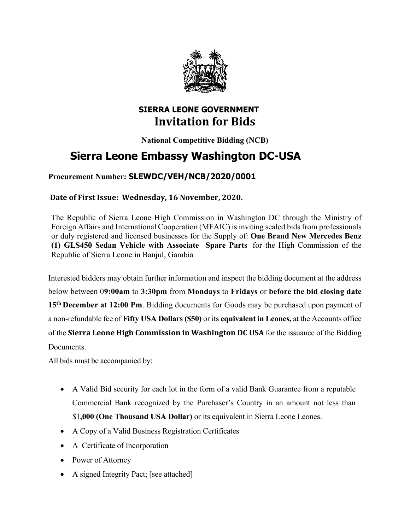

## **SIERRA LEONE GOVERNMENT Invitation for Bids**

### **National Competitive Bidding (NCB)**

# **Sierra Leone Embassy Washington DC-USA**

### **Procurement Number: SLEWDC/VEH/NCB/2020/0001**

Date of First Issue: Wednesday, 16 November, 2020.

The Republic of Sierra Leone High Commission in Washington DC through the Ministry of Foreign Affairs and International Cooperation (MFAIC) is inviting sealed bids from professionals or duly registered and licensed businesses for the Supply of: **One Brand New Mercedes Benz (1) GLS450 Sedan Vehicle with Associate Spare Parts** for the High Commission of the Republic of Sierra Leone in Banjul, Gambia

Interested bidders may obtain further information and inspect the bidding document at the address below between 0**9:00am** to **3:30pm** from **Mondays** to **Fridays** or **before the bid closing date 15th December at 12:00 Pm**. Bidding documents for Goods may be purchased upon payment of a non-refundable fee of **Fifty USA Dollars (\$50)** or its **equivalent in Leones,** at the Accounts office of the **Sierra Leone High Commission in Washington DC USA** for the issuance of the Bidding Documents.

All bids must be accompanied by:

- A Valid Bid security for each lot in the form of a valid Bank Guarantee from a reputable Commercial Bank recognized by the Purchaser's Country in an amount not less than \$1**,000 (One Thousand USA Dollar)** or its equivalent in Sierra Leone Leones.
- A Copy of a Valid Business Registration Certificates
- A Certificate of Incorporation
- Power of Attorney
- A signed Integrity Pact; [see attached]